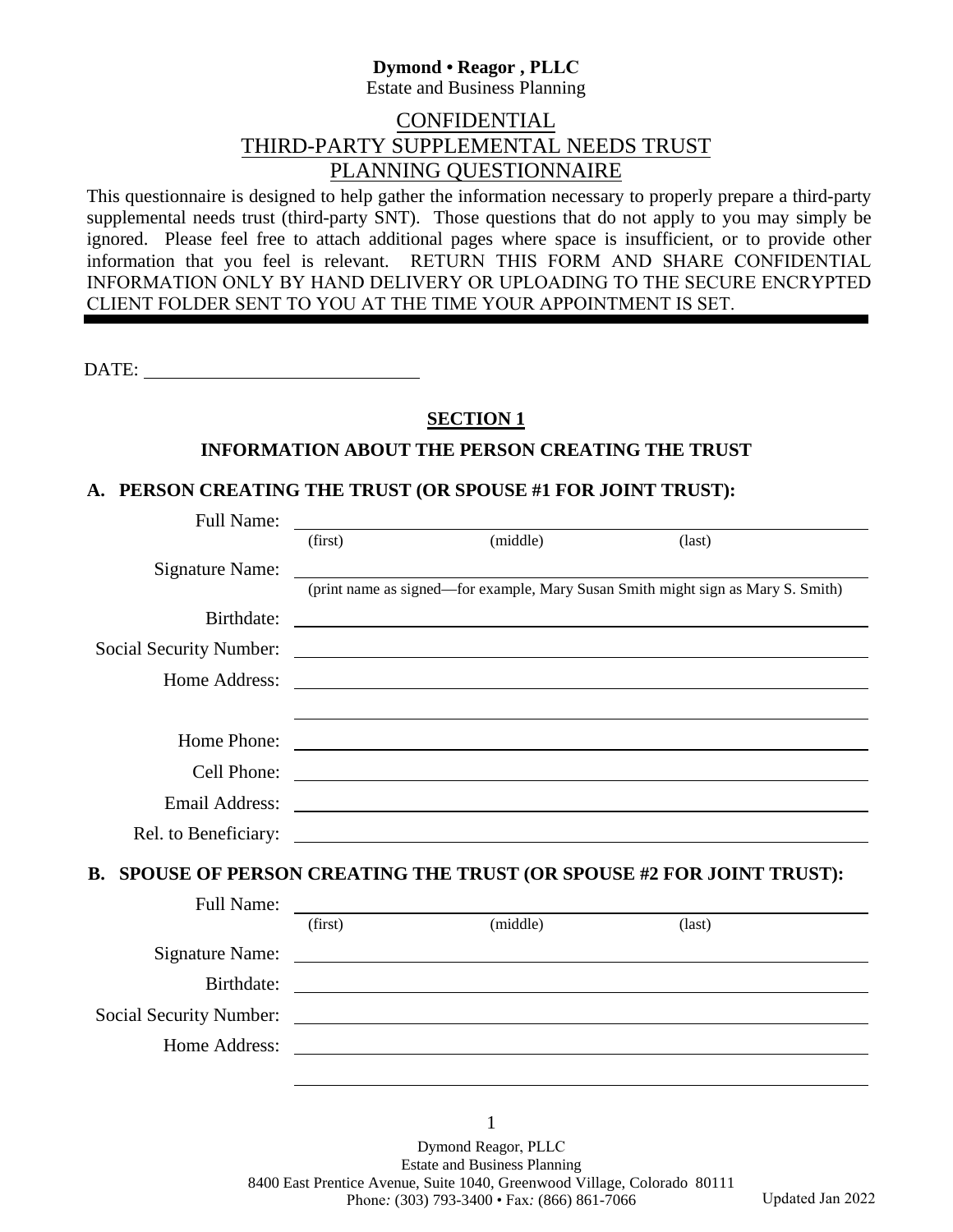# **Dymond • Reagor , PLLC**

Estate and Business Planning

# CONFIDENTIAL THIRD-PARTY SUPPLEMENTAL NEEDS TRUST PLANNING QUESTIONNAIRE

This questionnaire is designed to help gather the information necessary to properly prepare a third-party supplemental needs trust (third-party SNT). Those questions that do not apply to you may simply be ignored. Please feel free to attach additional pages where space is insufficient, or to provide other information that you feel is relevant. RETURN THIS FORM AND SHARE CONFIDENTIAL INFORMATION ONLY BY HAND DELIVERY OR UPLOADING TO THE SECURE ENCRYPTED CLIENT FOLDER SENT TO YOU AT THE TIME YOUR APPOINTMENT IS SET.

DATE:

# **SECTION 1**

#### **INFORMATION ABOUT THE PERSON CREATING THE TRUST**

#### **A. PERSON CREATING THE TRUST (OR SPOUSE #1 FOR JOINT TRUST):**

| <b>Full Name:</b>              |         |                                                                                                                       |                                                                                                                       |
|--------------------------------|---------|-----------------------------------------------------------------------------------------------------------------------|-----------------------------------------------------------------------------------------------------------------------|
|                                | (first) | (middle)                                                                                                              | (last)                                                                                                                |
| <b>Signature Name:</b>         |         | <u> 1980 - John Stein, Amerikaansk politiker (</u>                                                                    |                                                                                                                       |
|                                |         |                                                                                                                       | (print name as signed—for example, Mary Susan Smith might sign as Mary S. Smith)                                      |
| Birthdate:                     |         |                                                                                                                       |                                                                                                                       |
| <b>Social Security Number:</b> |         | <u> Andreas Andreas Andreas Andreas Andreas Andreas Andreas Andreas Andreas Andreas Andreas Andreas Andreas Andr</u>  |                                                                                                                       |
| Home Address:                  |         |                                                                                                                       |                                                                                                                       |
|                                |         |                                                                                                                       |                                                                                                                       |
| Home Phone:                    |         | <u> 1989 - Johann Stein, syntysk politiker (* 1958)</u>                                                               |                                                                                                                       |
| Cell Phone:                    |         | <u> 1989 - Johann Barbara, martin amerikan basar dan berasal dalam basa dan berasal dalam basar dalam basa dalam</u>  |                                                                                                                       |
| <b>Email Address:</b>          |         | <u> 1989 - Johann Harry Harry Harry Harry Harry Harry Harry Harry Harry Harry Harry Harry Harry Harry Harry Harry</u> |                                                                                                                       |
| Rel. to Beneficiary:           |         | <u> 1980 - Johann John Stein, markin f</u>                                                                            |                                                                                                                       |
| <b>B.</b>                      |         |                                                                                                                       | SPOUSE OF PERSON CREATING THE TRUST (OR SPOUSE #2 FOR JOINT TRUST):                                                   |
|                                |         |                                                                                                                       |                                                                                                                       |
| <b>Full Name:</b>              |         | (first) (middle) (last)                                                                                               |                                                                                                                       |
| Signature Name:                |         |                                                                                                                       |                                                                                                                       |
|                                |         |                                                                                                                       |                                                                                                                       |
| Birthdate:                     |         |                                                                                                                       | <u> 1989 - Johann Stoff, deutscher Stoff, der Stoff, der Stoff, der Stoff, der Stoff, der Stoff, der Stoff, der S</u> |
|                                |         |                                                                                                                       |                                                                                                                       |
| Home Address:                  |         | <u> 2008 - Andrea Andrew Maria (h. 1878).</u>                                                                         |                                                                                                                       |
|                                |         |                                                                                                                       |                                                                                                                       |

1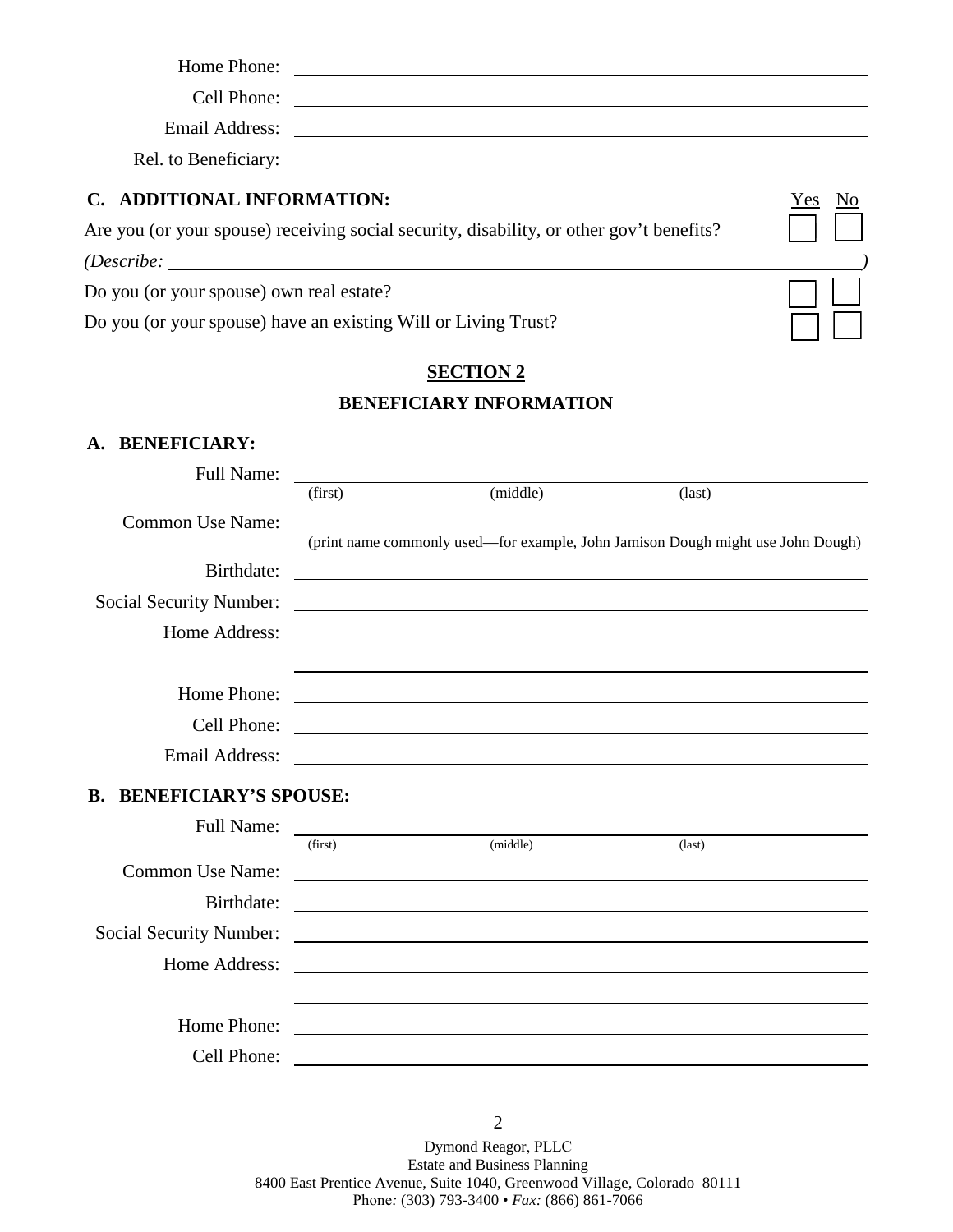| Home Phone:                                                                                                     |        |
|-----------------------------------------------------------------------------------------------------------------|--------|
| Cell Phone:                                                                                                     |        |
| Email Address: The Manual Address and Address and Address and Address and Address and Address and Address and A |        |
| Rel. to Beneficiary:                                                                                            |        |
| C. ADDITIONAL INFORMATION:                                                                                      | Yes No |
| Are you (or your spouse) receiving social security, disability, or other gov't benefits?                        |        |
| (Describe:                                                                                                      |        |
| Do you (or your spouse) own real estate?                                                                        |        |
| Do you (or your spouse) have an existing Will or Living Trust?                                                  |        |

# **SECTION 2 BENEFICIARY INFORMATION**

#### **A. BENEFICIARY:**

| <b>Full Name:</b>                  |         |                                                                                                                        |                                                                                 |
|------------------------------------|---------|------------------------------------------------------------------------------------------------------------------------|---------------------------------------------------------------------------------|
|                                    | (first) | (middle)                                                                                                               | $\text{(last)}$                                                                 |
| Common Use Name:                   |         |                                                                                                                        |                                                                                 |
|                                    |         |                                                                                                                        | (print name commonly used—for example, John Jamison Dough might use John Dough) |
| Birthdate:                         |         | <u> 1989 - Johann Stoff, amerikansk politiker (* 1908)</u>                                                             |                                                                                 |
| <b>Social Security Number:</b>     |         |                                                                                                                        |                                                                                 |
| Home Address:                      |         |                                                                                                                        |                                                                                 |
|                                    |         |                                                                                                                        |                                                                                 |
| Home Phone:                        |         | <u> 1980 - Johann Stoff, deutscher Stoffen und der Stoffen und der Stoffen und der Stoffen und der Stoffen und de</u>  |                                                                                 |
| Cell Phone:                        |         | <u> 1988 - Andrea Branden, amerikan basar pada sebagai personal di sebagai personal di sebagai personal di sebagai</u> |                                                                                 |
| <b>Email Address:</b>              |         |                                                                                                                        |                                                                                 |
|                                    |         |                                                                                                                        |                                                                                 |
| <b>BENEFICIARY'S SPOUSE:</b><br>B. |         |                                                                                                                        |                                                                                 |
| <b>Full Name:</b>                  | (first) | (middle)                                                                                                               | $\text{(last)}$                                                                 |
| <b>Common Use Name:</b>            |         |                                                                                                                        |                                                                                 |
|                                    |         |                                                                                                                        |                                                                                 |
| Birthdate:                         |         | <u> 1989 - Johann Barbara, martin amerikan basal dan berasal dalam basal dan berasal dalam basal dalam basal dala</u>  |                                                                                 |
| <b>Social Security Number:</b>     |         | <u> 1989 - Johann Stoff, deutscher Stoffen und der Stoffen und der Stoffen und der Stoffen und der Stoffen und der</u> |                                                                                 |
| Home Address:                      |         | <u> 1980 - Jan Samuel Barbara, martin de la provincia de la provincia de la provincia de la provincia de la provi</u>  |                                                                                 |
|                                    |         |                                                                                                                        |                                                                                 |
| Home Phone:                        |         |                                                                                                                        |                                                                                 |
| Cell Phone:                        |         |                                                                                                                        |                                                                                 |

Dymond Reagor, PLLC Estate and Business Planning 8400 East Prentice Avenue, Suite 1040, Greenwood Village, Colorado 80111 Phone*:* (303) 793-3400 • *Fax:* (866) 861-7066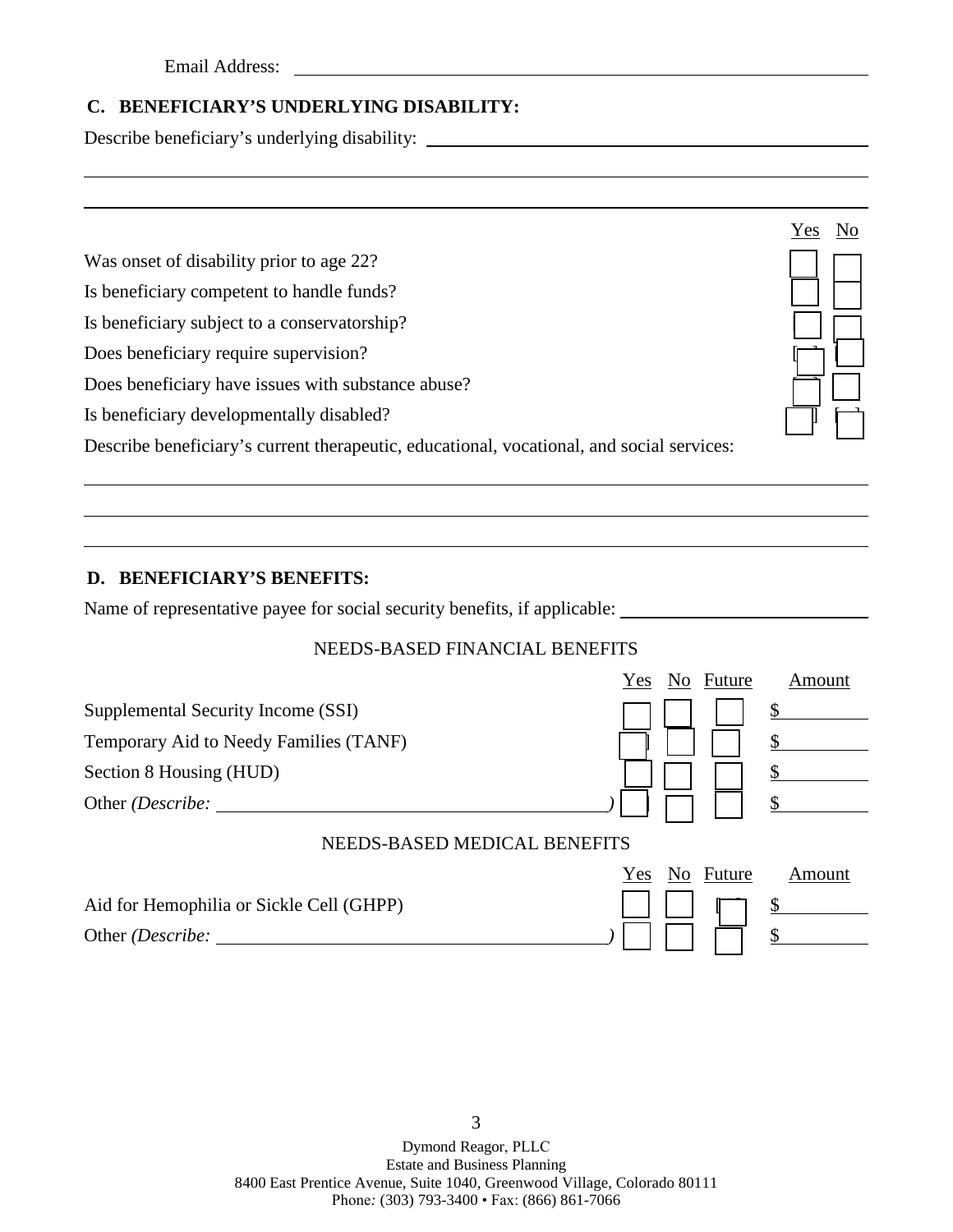Email Address: The Manual Address and The Manual Address and The Manual Address and The Manual Address and The Manual Address and The Manual Address and The Manual Address and The Manual Address and The Manual Address and

# **C. BENEFICIARY'S UNDERLYING DISABILITY:**

Describe beneficiary's underlying disability: \_\_\_\_\_\_\_\_\_\_\_\_\_\_\_\_\_\_\_\_\_\_\_\_\_\_\_\_\_\_\_\_\_\_\_

|                                                                                           | Yes |  |
|-------------------------------------------------------------------------------------------|-----|--|
| Was onset of disability prior to age 22?                                                  |     |  |
| Is beneficiary competent to handle funds?                                                 |     |  |
| Is beneficiary subject to a conservatorship?                                              |     |  |
| Does beneficiary require supervision?                                                     |     |  |
| Does beneficiary have issues with substance abuse?                                        |     |  |
| Is beneficiary developmentally disabled?                                                  |     |  |
| Describe beneficiary's current therapeutic, educational, vocational, and social services: |     |  |

### **D. BENEFICIARY'S BENEFITS:**

Name of representative payee for social security benefits, if applicable:

#### NEEDS-BASED FINANCIAL BENEFITS

|                                          | Yes | No Future | Amount |
|------------------------------------------|-----|-----------|--------|
| Supplemental Security Income (SSI)       |     |           |        |
| Temporary Aid to Needy Families (TANF)   |     |           |        |
| Section 8 Housing (HUD)                  |     |           |        |
| Other (Describe:                         |     |           |        |
| NEEDS-BASED MEDICAL BENEFITS             |     |           |        |
|                                          | Yes | No Future | Amount |
| Aid for Hemophilia or Sickle Cell (GHPP) |     |           |        |
| Other ( <i>Describe</i> :                |     |           |        |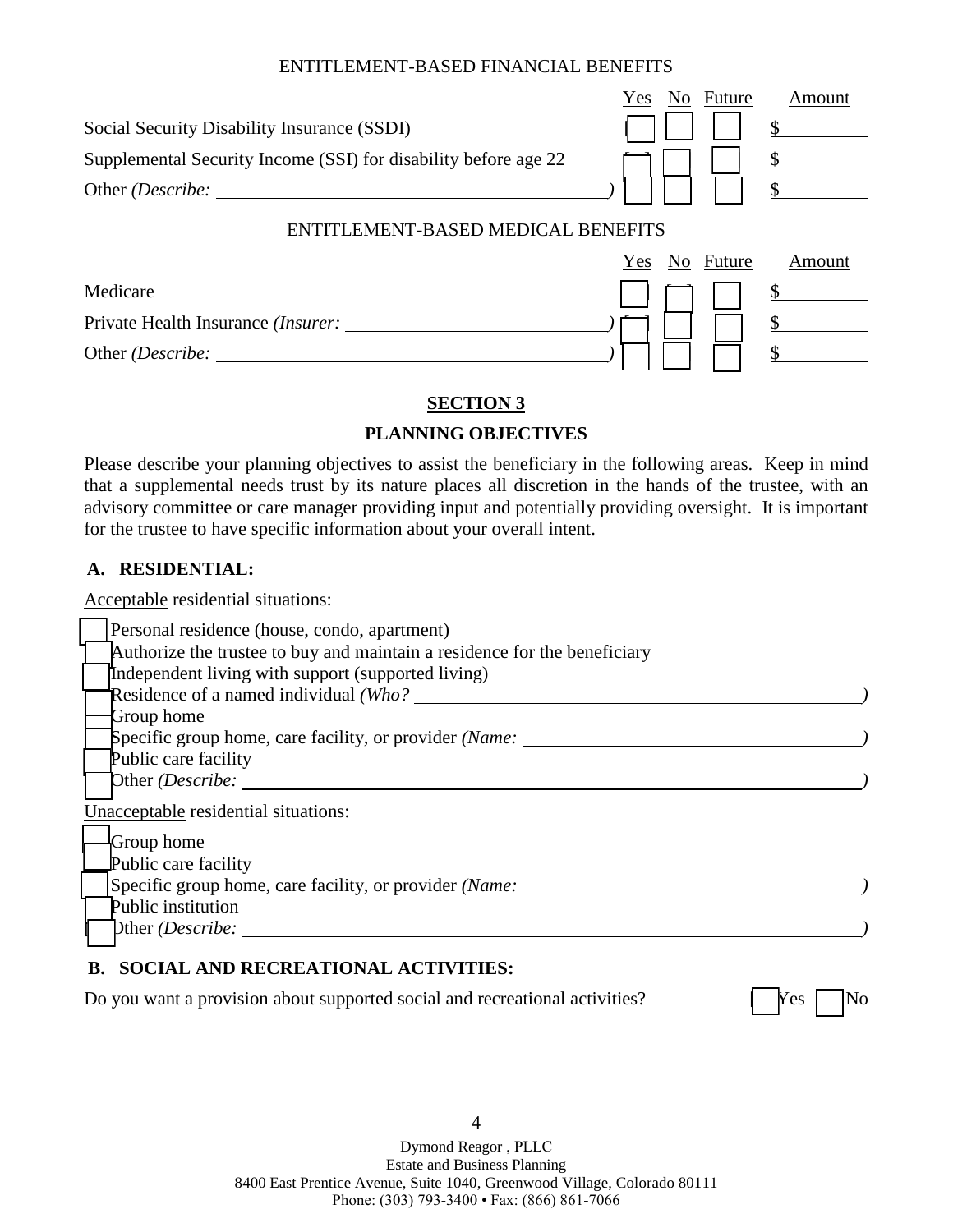#### ENTITLEMENT-BASED FINANCIAL BENEFITS

|                                                                 | No Future<br>Yes<br>Amount |
|-----------------------------------------------------------------|----------------------------|
| Social Security Disability Insurance (SSDI)                     |                            |
| Supplemental Security Income (SSI) for disability before age 22 |                            |
|                                                                 |                            |
| ENTITLEMENT-BASED MEDICAL BENEFITS                              |                            |
|                                                                 | No Future<br>Amount<br>Yes |
| Medicare                                                        |                            |
| Private Health Insurance <i>(Insurer:</i>                       |                            |
| Other <i>(Describe:</i>                                         |                            |

#### **SECTION 3**

#### **PLANNING OBJECTIVES**

Please describe your planning objectives to assist the beneficiary in the following areas. Keep in mind that a supplemental needs trust by its nature places all discretion in the hands of the trustee, with an advisory committee or care manager providing input and potentially providing oversight. It is important for the trustee to have specific information about your overall intent.

#### **A. RESIDENTIAL:**

Acceptable residential situations:

| Personal residence (house, condo, apartment)                              |  |
|---------------------------------------------------------------------------|--|
| Authorize the trustee to buy and maintain a residence for the beneficiary |  |
| Independent living with support (supported living)                        |  |
| Residence of a named individual (Who?                                     |  |
| Group home                                                                |  |
| Specific group home, care facility, or provider <i>(Name:</i>             |  |
| Public care facility                                                      |  |
| Other (Describe:                                                          |  |
| Unacceptable residential situations:                                      |  |
| <b>Group</b> home                                                         |  |
| Public care facility                                                      |  |
| Specific group home, care facility, or provider <i>(Name:</i>             |  |
| Public institution                                                        |  |
| Dther (Describe:                                                          |  |
|                                                                           |  |

### **B. SOCIAL AND RECREATIONAL ACTIVITIES:**

Do you want a provision about supported social and recreational activities? [ Nes | No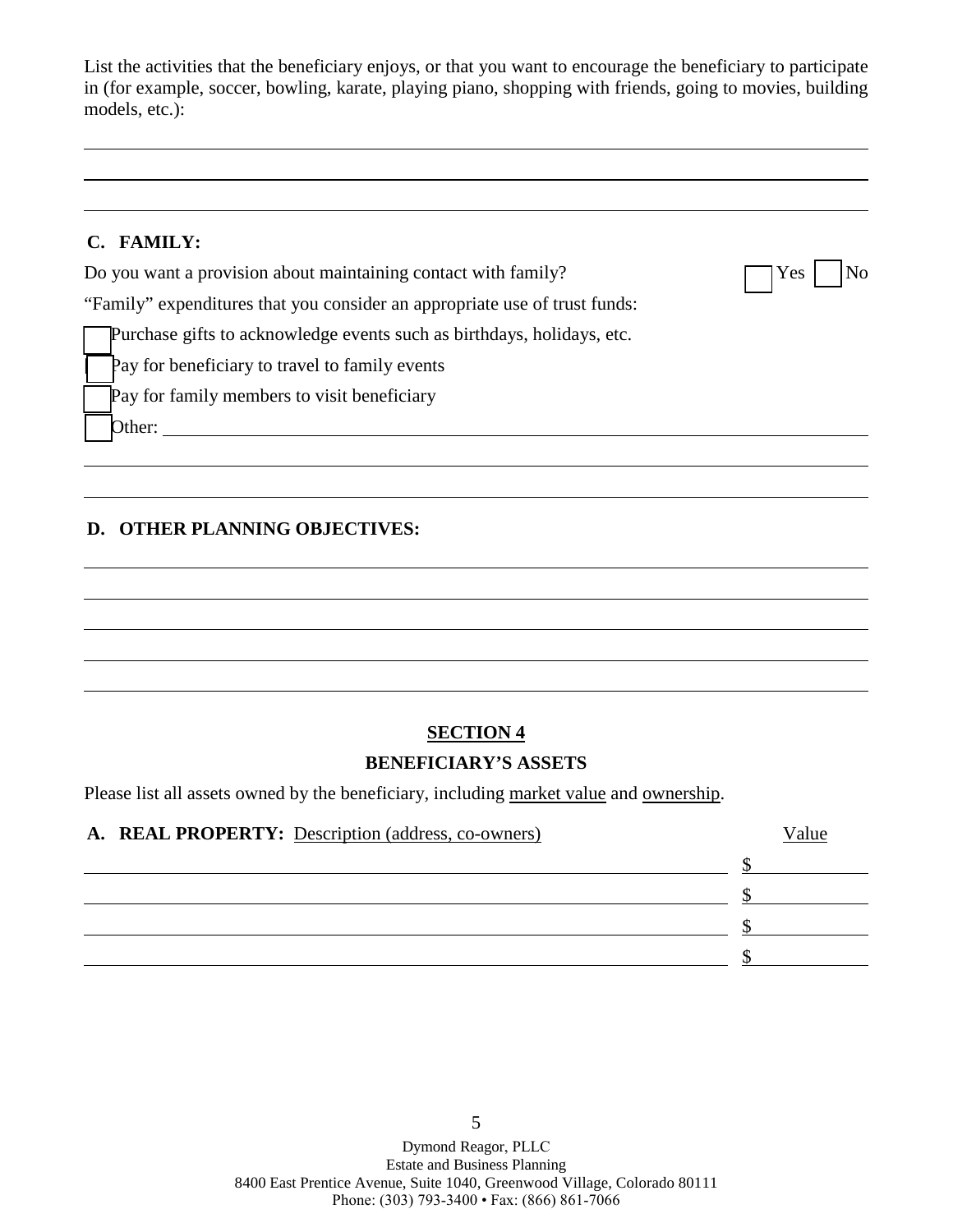List the activities that the beneficiary enjoys, or that you want to encourage the beneficiary to participate in (for example, soccer, bowling, karate, playing piano, shopping with friends, going to movies, building models, etc.):

#### **C. FAMILY:**

|--|--|--|

"Family" expenditures that you consider an appropriate use of trust funds:

Do you want a provision about maintaining contact with family?

Purchase gifts to acknowledge events such as birthdays, holidays, etc.

Pay for beneficiary to travel to family events

Pay for family members to visit beneficiary

 $\boxed{\text{Other:}\n\quad \qquad \qquad }$ 

# **D. OTHER PLANNING OBJECTIVES:**

# **SECTION 4**

#### **BENEFICIARY'S ASSETS**

Please list all assets owned by the beneficiary, including market value and ownership.

| A. REAL PROPERTY: Description (address, co-owners) | <sup>7</sup> alue |
|----------------------------------------------------|-------------------|
|                                                    |                   |
|                                                    |                   |
|                                                    |                   |
|                                                    |                   |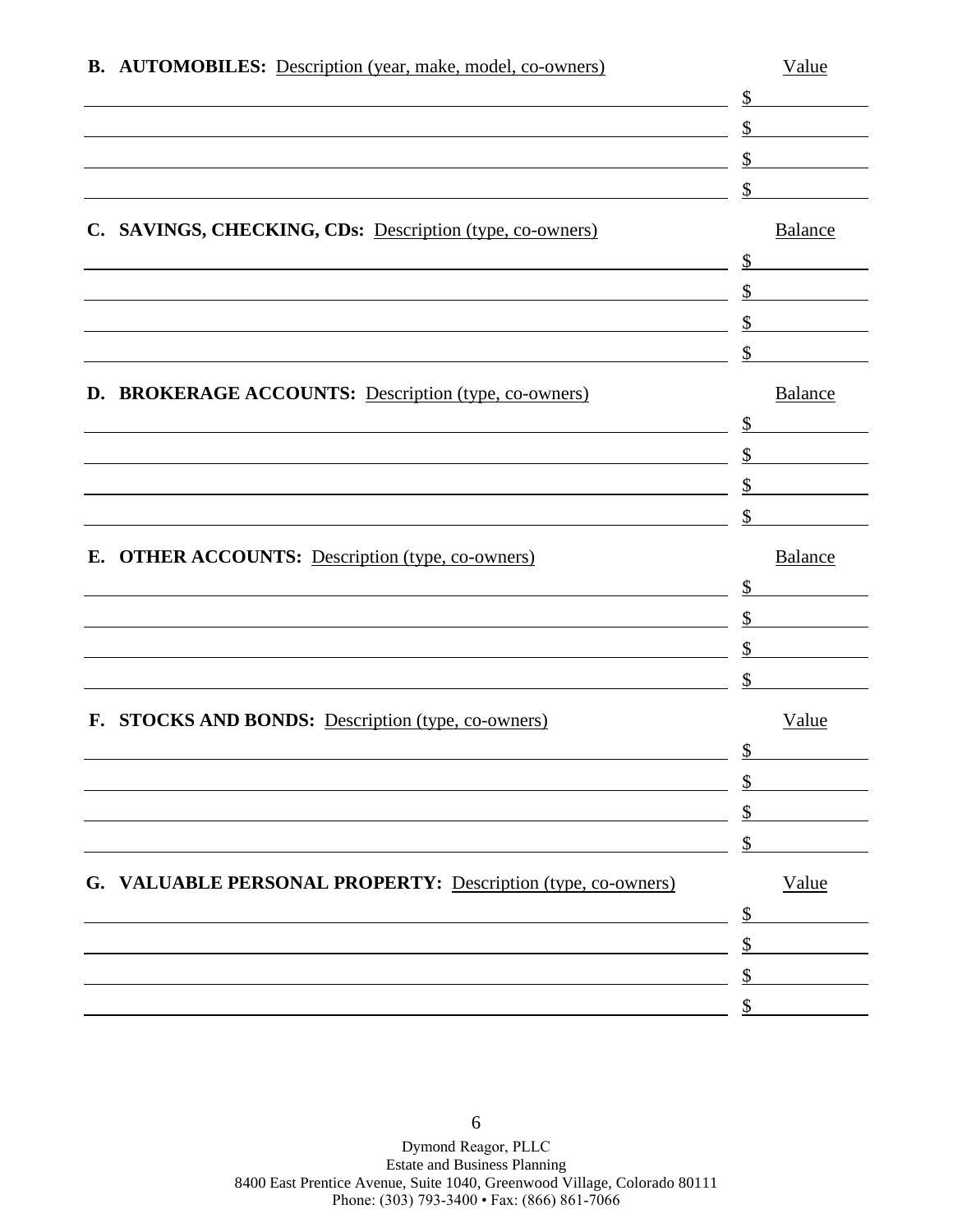|    | <b>B.</b> AUTOMOBILES: Description (year, make, model, co-owners) | Value          |
|----|-------------------------------------------------------------------|----------------|
|    |                                                                   | \$             |
|    |                                                                   | \$             |
|    |                                                                   | \$             |
|    |                                                                   |                |
|    | C. SAVINGS, CHECKING, CDs: Description (type, co-owners)          | <b>Balance</b> |
|    |                                                                   | \$             |
|    |                                                                   | \$             |
|    |                                                                   | \$             |
|    |                                                                   |                |
|    | D. BROKERAGE ACCOUNTS: Description (type, co-owners)              | <b>Balance</b> |
|    |                                                                   | \$             |
|    |                                                                   | \$             |
|    |                                                                   |                |
|    |                                                                   | \$             |
| Е. | <b>OTHER ACCOUNTS:</b> Description (type, co-owners)              | <b>Balance</b> |
|    |                                                                   | \$             |
|    |                                                                   | \$             |
|    |                                                                   | \$             |
|    |                                                                   |                |
|    | F. STOCKS AND BONDS: Description (type, co-owners)                | Value          |
|    |                                                                   |                |
|    |                                                                   |                |
|    |                                                                   |                |
|    |                                                                   |                |
|    | G. VALUABLE PERSONAL PROPERTY: Description (type, co-owners)      | Value          |
|    |                                                                   |                |
|    |                                                                   |                |
|    |                                                                   |                |
|    |                                                                   |                |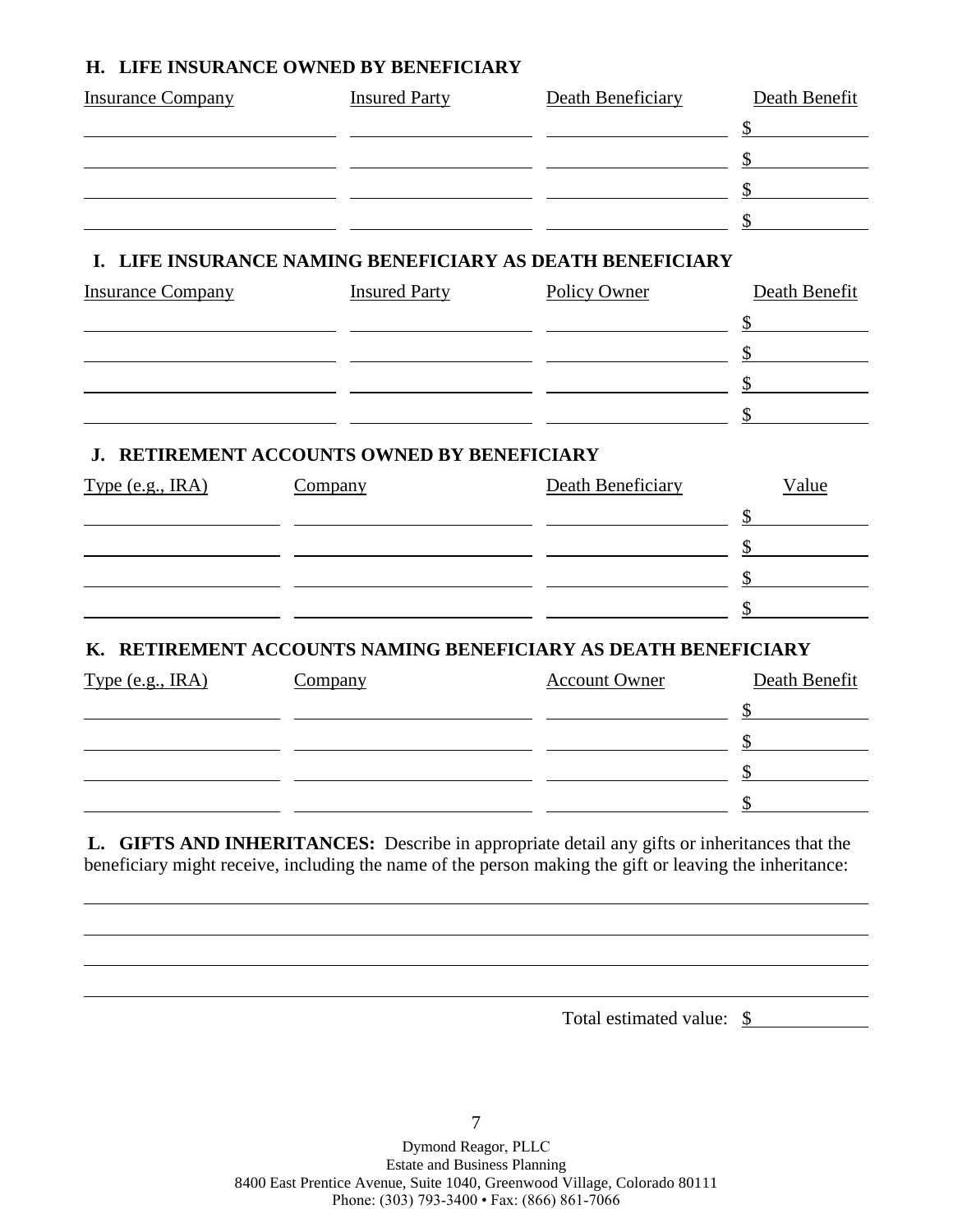#### **H. LIFE INSURANCE OWNED BY BENEFICIARY**

| <b>Insurance Company</b> | <b>Insured Party</b>                     | Death Beneficiary                                           | Death Benefit |
|--------------------------|------------------------------------------|-------------------------------------------------------------|---------------|
|                          |                                          |                                                             | \$            |
|                          |                                          |                                                             |               |
|                          |                                          |                                                             |               |
|                          |                                          |                                                             |               |
| L.                       |                                          | LIFE INSURANCE NAMING BENEFICIARY AS DEATH BENEFICIARY      |               |
| <b>Insurance Company</b> | <b>Insured Party</b>                     | Policy Owner                                                | Death Benefit |
|                          |                                          |                                                             |               |
|                          |                                          |                                                             |               |
|                          |                                          |                                                             |               |
|                          |                                          |                                                             |               |
| J.                       | RETIREMENT ACCOUNTS OWNED BY BENEFICIARY |                                                             |               |
| Type $(e.g., IRA)$       | Company                                  | Death Beneficiary                                           | Value         |
|                          |                                          |                                                             |               |
|                          |                                          |                                                             |               |
|                          |                                          |                                                             |               |
|                          |                                          |                                                             |               |
| Κ.                       |                                          | RETIREMENT ACCOUNTS NAMING BENEFICIARY AS DEATH BENEFICIARY |               |
| Type (e.g., IRA)         | <b>Company</b>                           | <b>Account Owner</b>                                        | Death Benefit |
|                          |                                          |                                                             | \$            |
|                          |                                          |                                                             |               |
|                          |                                          |                                                             |               |

**L. GIFTS AND INHERITANCES:** Describe in appropriate detail any gifts or inheritances that the beneficiary might receive, including the name of the person making the gift or leaving the inheritance:

Total estimated value: \$

 $\frac{1}{2}$ 

 $\sim$ 

Dymond Reagor, PLLC Estate and Business Planning 8400 East Prentice Avenue, Suite 1040, Greenwood Village, Colorado 80111 Phone: (303) 793-3400 • Fax: (866) 861-7066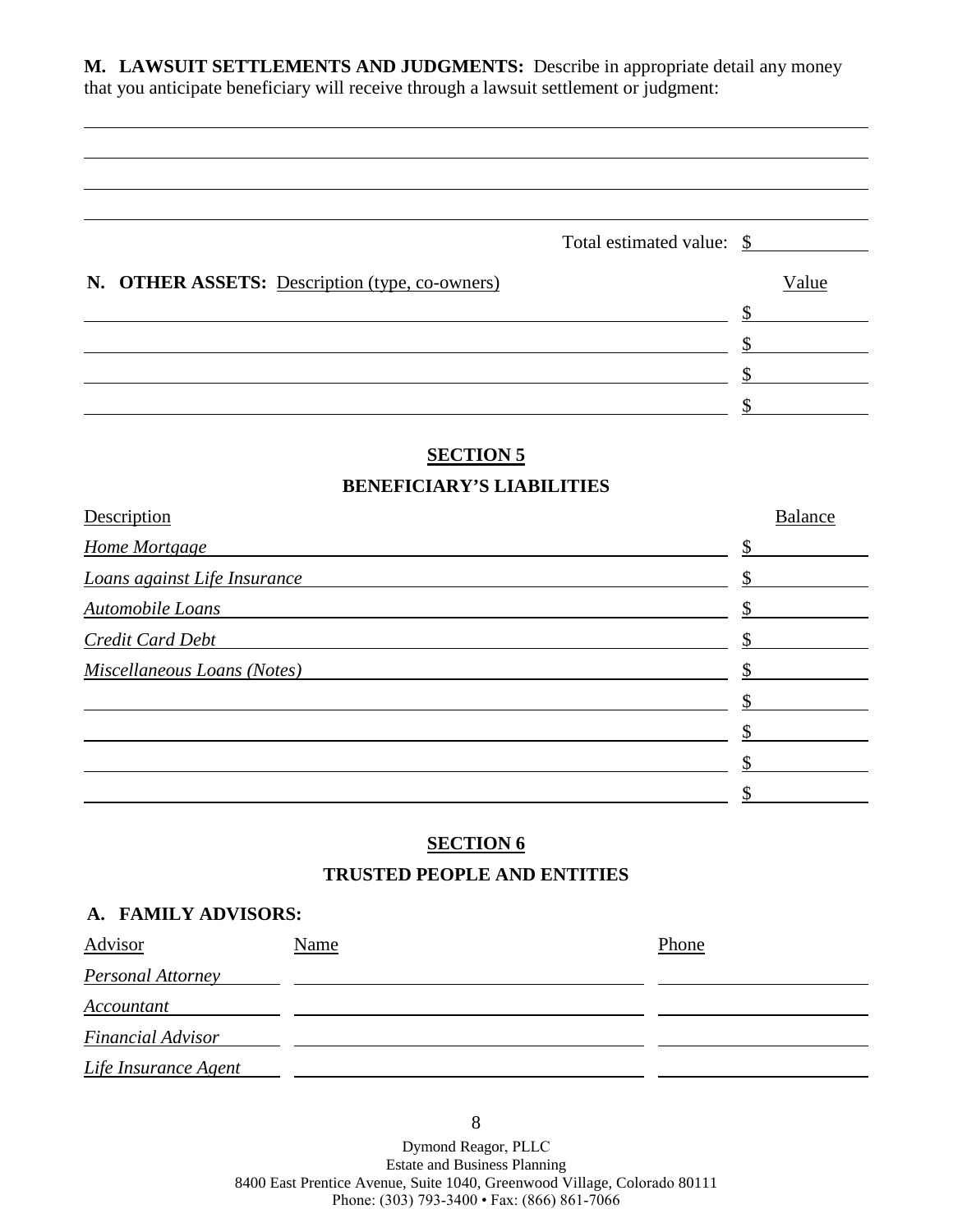**M. LAWSUIT SETTLEMENTS AND JUDGMENTS:** Describe in appropriate detail any money that you anticipate beneficiary will receive through a lawsuit settlement or judgment:

|                                                | Total estimated value: \$ |       |
|------------------------------------------------|---------------------------|-------|
| N. OTHER ASSETS: Description (type, co-owners) |                           | Value |
|                                                |                           |       |
|                                                |                           |       |
|                                                |                           |       |
|                                                |                           |       |

## **SECTION 5**

#### **BENEFICIARY'S LIABILITIES**

| Description                  | <b>Balance</b> |
|------------------------------|----------------|
| Home Mortgage                |                |
| Loans against Life Insurance |                |
| Automobile Loans             |                |
| Credit Card Debt             |                |
| Miscellaneous Loans (Notes)  |                |
|                              |                |
|                              |                |
|                              |                |
|                              |                |

#### **SECTION 6**

#### **TRUSTED PEOPLE AND ENTITIES**

#### **A. FAMILY ADVISORS:**

| Advisor                  | Name | Phone |
|--------------------------|------|-------|
| Personal Attorney        |      |       |
| Accountant               |      |       |
| <b>Financial Advisor</b> |      |       |
| Life Insurance Agent     |      |       |

8

Dymond Reagor, PLLC Estate and Business Planning 8400 East Prentice Avenue, Suite 1040, Greenwood Village, Colorado 80111 Phone: (303) 793-3400 • Fax: (866) 861-7066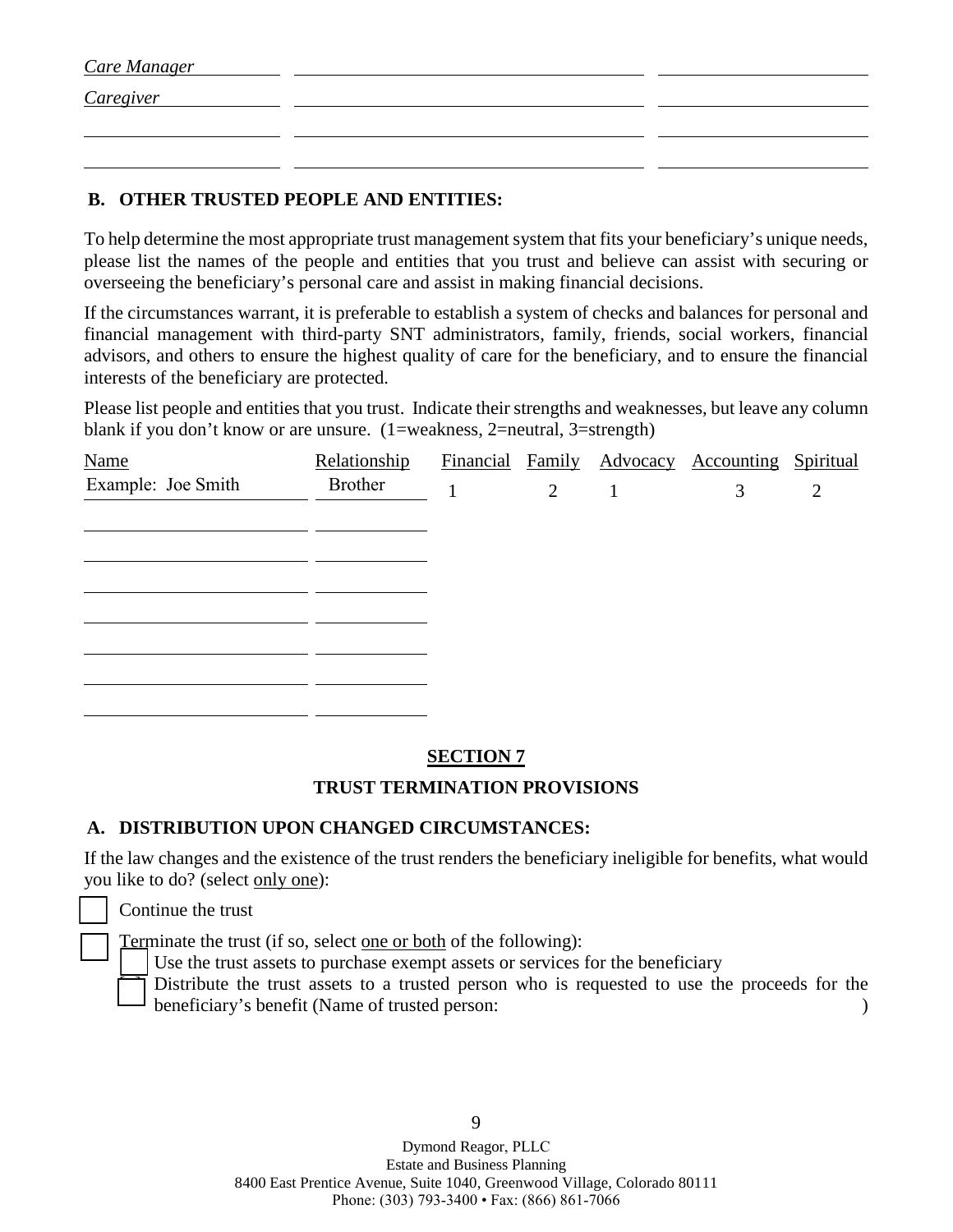| <b>Care Manager</b> |  |
|---------------------|--|
| <i>Caregiver</i>    |  |
|                     |  |
|                     |  |

#### **B. OTHER TRUSTED PEOPLE AND ENTITIES:**

To help determine the most appropriate trust management system that fits your beneficiary's unique needs, please list the names of the people and entities that you trust and believe can assist with securing or overseeing the beneficiary's personal care and assist in making financial decisions.

If the circumstances warrant, it is preferable to establish a system of checks and balances for personal and financial management with third-party SNT administrators, family, friends, social workers, financial advisors, and others to ensure the highest quality of care for the beneficiary, and to ensure the financial interests of the beneficiary are protected.

Please list people and entities that you trust. Indicate their strengths and weaknesses, but leave any column blank if you don't know or are unsure. (1=weakness, 2=neutral, 3=strength)

| <b>Name</b>        | Relationship |                | Financial Family Advocacy Accounting Spiritual |                |
|--------------------|--------------|----------------|------------------------------------------------|----------------|
| Example: Joe Smith | Brother      | $\overline{2}$ | 3                                              | $\overline{2}$ |
|                    |              |                |                                                |                |
|                    |              |                |                                                |                |
|                    |              |                |                                                |                |
|                    |              |                |                                                |                |
|                    |              |                |                                                |                |
|                    |              |                |                                                |                |
|                    |              |                |                                                |                |
|                    |              |                |                                                |                |

### **SECTION 7**

### **TRUST TERMINATION PROVISIONS**

#### **A. DISTRIBUTION UPON CHANGED CIRCUMSTANCES:**

If the law changes and the existence of the trust renders the beneficiary ineligible for benefits, what would you like to do? (select only one):

Continue the trust

Terminate the trust (if so, select <u>one or both</u> of the following):

Use the trust assets to purchase exempt assets or services for the beneficiary

Distribute the trust assets to a trusted person who is requested to use the proceeds for the beneficiary's benefit (Name of trusted person: )